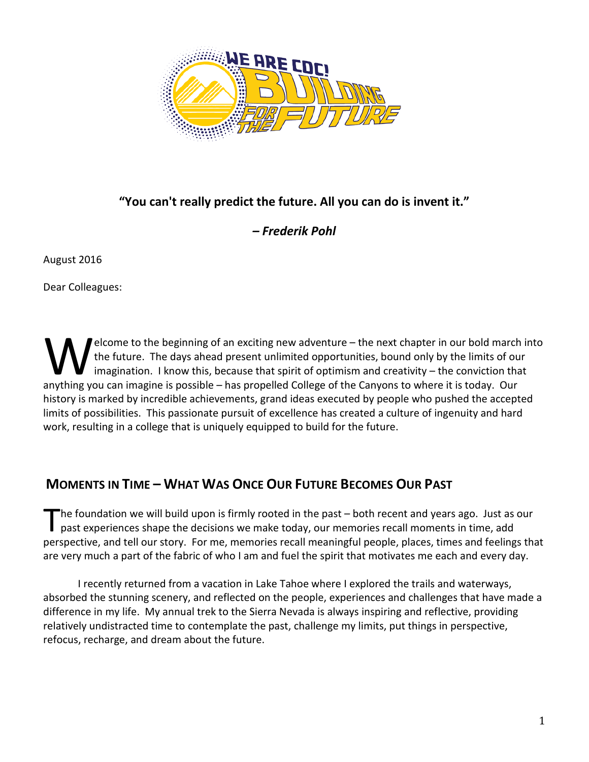

### **"You can't really predict the future. All you can do is invent it."**

#### *– Frederik Pohl*

August 2016

Dear Colleagues:

elcome to the beginning of an exciting new adventure – the next chapter in our bold march into the future. The days ahead present unlimited opportunities, bound only by the limits of our imagination. I know this, because that spirit of optimism and creativity – the conviction that All the future. The days ahead present unlimited opportunities, bound only by the limits of our imagination. I know this, because that spirit of optimism and creativity – the conviction thanything you can imagine is possib history is marked by incredible achievements, grand ideas executed by people who pushed the accepted limits of possibilities. This passionate pursuit of excellence has created a culture of ingenuity and hard work, resulting in a college that is uniquely equipped to build for the future.

# **MOMENTS IN TIME – WHAT WAS ONCE OUR FUTURE BECOMES OUR PAST**

he foundation we will build upon is firmly rooted in the past – both recent and years ago. Just as our past experiences shape the decisions we make today, our memories recall moments in time, add perspective, and tell our story. For me, memories recall meaningful people, places, times and feelings that are very much a part of the fabric of who I am and fuel the spirit that motivates me each and every day. T

I recently returned from a vacation in Lake Tahoe where I explored the trails and waterways, absorbed the stunning scenery, and reflected on the people, experiences and challenges that have made a difference in my life. My annual trek to the Sierra Nevada is always inspiring and reflective, providing relatively undistracted time to contemplate the past, challenge my limits, put things in perspective, refocus, recharge, and dream about the future.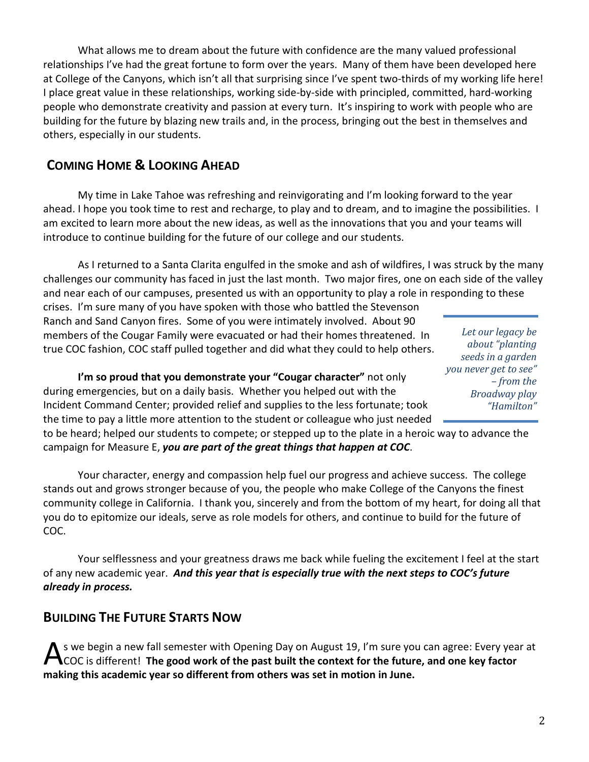What allows me to dream about the future with confidence are the many valued professional relationships I've had the great fortune to form over the years. Many of them have been developed here at College of the Canyons, which isn't all that surprising since I've spent two-thirds of my working life here! I place great value in these relationships, working side-by-side with principled, committed, hard-working people who demonstrate creativity and passion at every turn. It's inspiring to work with people who are building for the future by blazing new trails and, in the process, bringing out the best in themselves and others, especially in our students.

## **COMING HOME & LOOKING AHEAD**

My time in Lake Tahoe was refreshing and reinvigorating and I'm looking forward to the year ahead. I hope you took time to rest and recharge, to play and to dream, and to imagine the possibilities. I am excited to learn more about the new ideas, as well as the innovations that you and your teams will introduce to continue building for the future of our college and our students.

As I returned to a Santa Clarita engulfed in the smoke and ash of wildfires, I was struck by the many challenges our community has faced in just the last month. Two major fires, one on each side of the valley and near each of our campuses, presented us with an opportunity to play a role in responding to these

crises. I'm sure many of you have spoken with those who battled the Stevenson Ranch and Sand Canyon fires. Some of you were intimately involved. About 90 members of the Cougar Family were evacuated or had their homes threatened. In true COC fashion, COC staff pulled together and did what they could to help others.

**I'm so proud that you demonstrate your "Cougar character"** not only during emergencies, but on a daily basis. Whether you helped out with the Incident Command Center; provided relief and supplies to the less fortunate; took the time to pay a little more attention to the student or colleague who just needed

to be heard; helped our students to compete; or stepped up to the plate in a heroic way to advance the campaign for Measure E, *you are part of the great things that happen at COC*.

Your character, energy and compassion help fuel our progress and achieve success. The college stands out and grows stronger because of you, the people who make College of the Canyons the finest community college in California. I thank you, sincerely and from the bottom of my heart, for doing all that you do to epitomize our ideals, serve as role models for others, and continue to build for the future of COC.

Your selflessness and your greatness draws me back while fueling the excitement I feel at the start of any new academic year. *And this year that is especially true with the next steps to COC's future already in process.*

### **BUILDING THE FUTURE STARTS NOW**

s we begin a new fall semester with Opening Day on August 19, I'm sure you can agree: Every year at COC is different! **The good work of the past built the context for the future, and one key factor making this academic year so different from others was set in motion in June.**  A

*Let our legacy be about "planting seeds in a garden you never get to see" – from the Broadway play "Hamilton"*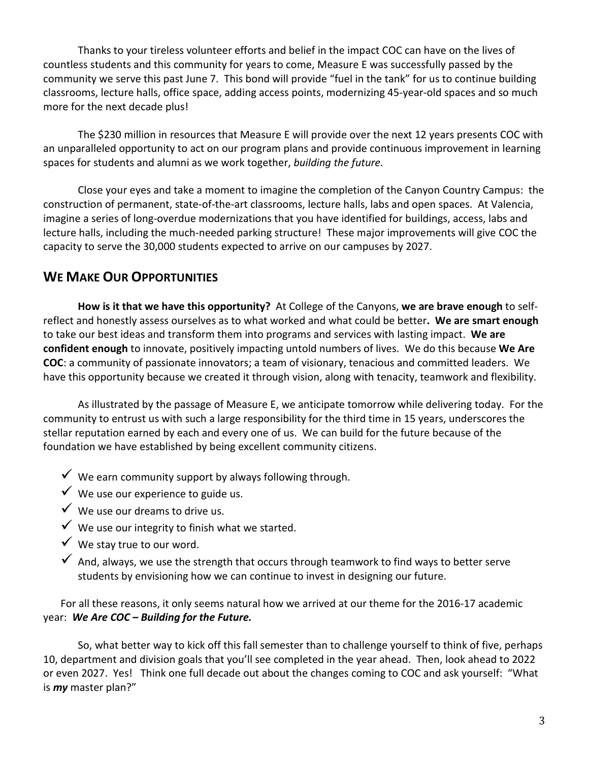Thanks to your tireless volunteer efforts and belief in the impact COC can have on the lives of countless students and this community for years to come, Measure E was successfully passed by the community we serve this past June 7. This bond will provide "fuel in the tank" for us to continue building classrooms, lecture halls, office space, adding access points, modernizing 45-year-old spaces and so much more for the next decade plus!

The \$230 million in resources that Measure E will provide over the next 12 years presents COC with an unparalleled opportunity to act on our program plans and provide continuous improvement in learning spaces for students and alumni as we work together, *building the future.*

Close your eyes and take a moment to imagine the completion of the Canyon Country Campus: the construction of permanent, state-of-the-art classrooms, lecture halls, labs and open spaces. At Valencia, imagine a series of long-overdue modernizations that you have identified for buildings, access, labs and lecture halls, including the much-needed parking structure! These major improvements will give COC the capacity to serve the 30,000 students expected to arrive on our campuses by 2027.

### **WE MAKE OUR OPPORTUNITIES**

**How is it that we have this opportunity?** At College of the Canyons, **we are brave enough** to selfreflect and honestly assess ourselves as to what worked and what could be better**. We are smart enough**  to take our best ideas and transform them into programs and services with lasting impact. **We are confident enough** to innovate, positively impacting untold numbers of lives. We do this because **We Are COC**: a community of passionate innovators; a team of visionary, tenacious and committed leaders. We have this opportunity because we created it through vision, along with tenacity, teamwork and flexibility.

As illustrated by the passage of Measure E, we anticipate tomorrow while delivering today. For the community to entrust us with such a large responsibility for the third time in 15 years, underscores the stellar reputation earned by each and every one of us. We can build for the future because of the foundation we have established by being excellent community citizens.

- $\checkmark$  We earn community support by always following through.
- $\checkmark$  We use our experience to guide us.
- $\checkmark$  We use our dreams to drive us.
- $\checkmark$  We use our integrity to finish what we started.
- $\checkmark$  We stay true to our word.
- $\checkmark$  And, always, we use the strength that occurs through teamwork to find ways to better serve students by envisioning how we can continue to invest in designing our future.

For all these reasons, it only seems natural how we arrived at our theme for the 2016-17 academic year: *We Are COC – Building for the Future.*

So, what better way to kick off this fall semester than to challenge yourself to think of five, perhaps 10, department and division goals that you'll see completed in the year ahead. Then, look ahead to 2022 or even 2027. Yes! Think one full decade out about the changes coming to COC and ask yourself: "What is *my* master plan?"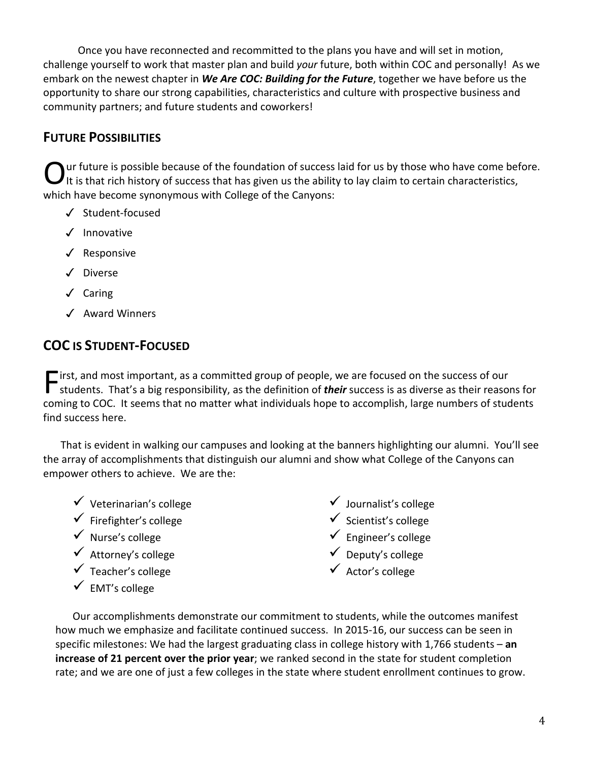Once you have reconnected and recommitted to the plans you have and will set in motion, challenge yourself to work that master plan and build *your* future, both within COC and personally! As we embark on the newest chapter in *We Are COC: Building for the Future*, together we have before us the opportunity to share our strong capabilities, characteristics and culture with prospective business and community partners; and future students and coworkers!

## **FUTURE POSSIBILITIES**

ur future is possible because of the foundation of success laid for us by those who have come before. It is that rich history of success that has given us the ability to lay claim to certain characteristics, which have become synonymous with College of the Canyons: O

- ✓ Student-focused
- ✓ Innovative
- ✓ Responsive
- ✓ Diverse
- ✓ Caring
- ✓ Award Winners

# **COC IS STUDENT-FOCUSED**

"irst, and most important, as a committed group of people, we are focused on the success of our **F** irst, and most important, as a committed group of people, we are focused on the success of our<br>students. That's a big responsibility, as the definition of **their** success is as diverse as their reasons for coming to COC. It seems that no matter what individuals hope to accomplish, large numbers of students find success here.

That is evident in walking our campuses and looking at the banners highlighting our alumni. You'll see the array of accomplishments that distinguish our alumni and show what College of the Canyons can empower others to achieve. We are the:

- $\checkmark$  Veterinarian's college
- $\checkmark$  Firefighter's college
- $\checkmark$  Nurse's college
- $\checkmark$  Attorney's college
- $\checkmark$  Teacher's college
- $\checkmark$  EMT's college
- $\checkmark$  Journalist's college
- $\checkmark$  Scientist's college
- $\checkmark$  Engineer's college
- $\checkmark$  Deputy's college
- $\checkmark$  Actor's college

Our accomplishments demonstrate our commitment to students, while the outcomes manifest how much we emphasize and facilitate continued success. In 2015-16, our success can be seen in specific milestones: We had the largest graduating class in college history with 1,766 students – **an increase of 21 percent over the prior year**; we ranked second in the state for student completion rate; and we are one of just a few colleges in the state where student enrollment continues to grow.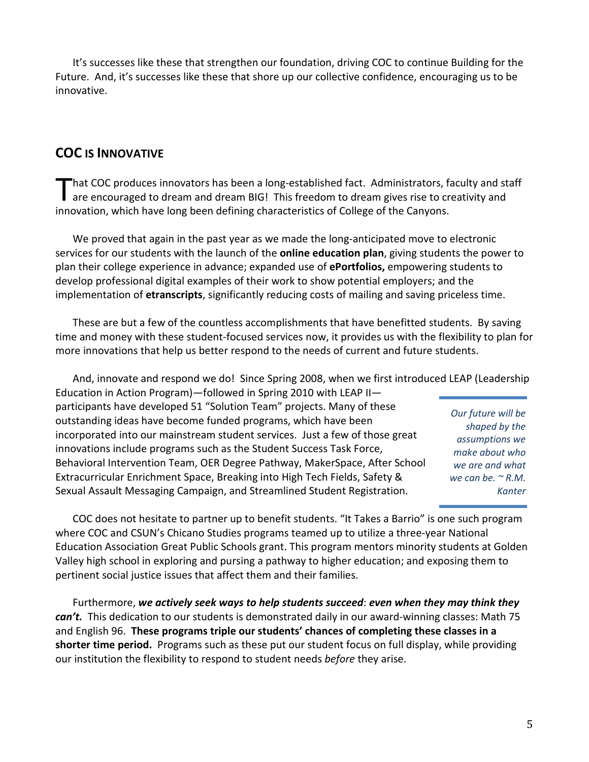It's successes like these that strengthen our foundation, driving COC to continue Building for the Future. And, it's successes like these that shore up our collective confidence, encouraging us to be innovative.

### **COC IS INNOVATIVE**

hat COC produces innovators has been a long-established fact. Administrators, faculty and staff That COC produces innovators has been a long-established fact. Administrators, faculty and st<br>are encouraged to dream and dream BIG! This freedom to dream gives rise to creativity and innovation, which have long been defining characteristics of College of the Canyons.

We proved that again in the past year as we made the long-anticipated move to electronic services for our students with the launch of the **online education plan**, giving students the power to plan their college experience in advance; expanded use of **ePortfolios,** empowering students to develop professional digital examples of their work to show potential employers; and the implementation of **etranscripts**, significantly reducing costs of mailing and saving priceless time.

These are but a few of the countless accomplishments that have benefitted students. By saving time and money with these student-focused services now, it provides us with the flexibility to plan for more innovations that help us better respond to the needs of current and future students.

And, innovate and respond we do! Since Spring 2008, when we first introduced LEAP (Leadership Education in Action Program)—followed in Spring 2010 with LEAP II participants have developed 51 "Solution Team" projects. Many of these outstanding ideas have become funded programs, which have been incorporated into our mainstream student services. Just a few of those great innovations include programs such as the Student Success Task Force, Behavioral Intervention Team, OER Degree Pathway, MakerSpace, After School Extracurricular Enrichment Space, Breaking into High Tech Fields, Safety & Sexual Assault Messaging Campaign, and Streamlined Student Registration. *Our future will be shaped by the assumptions we make about who we are and what we can be. ~ R.M. Kanter*

COC does not hesitate to partner up to benefit students. "It Takes a Barrio" is one such program where COC and CSUN's Chicano Studies programs teamed up to utilize a three-year National Education Association Great Public Schools grant. This program mentors minority students at Golden Valley high school in exploring and pursing a pathway to higher education; and exposing them to pertinent social justice issues that affect them and their families.

Furthermore, *we actively seek ways to help students succeed*: *even when they may think they can't.* This dedication to our students is demonstrated daily in our award-winning classes: Math 75 and English 96. **These programs triple our students' chances of completing these classes in a shorter time period.** Programs such as these put our student focus on full display, while providing our institution the flexibility to respond to student needs *before* they arise.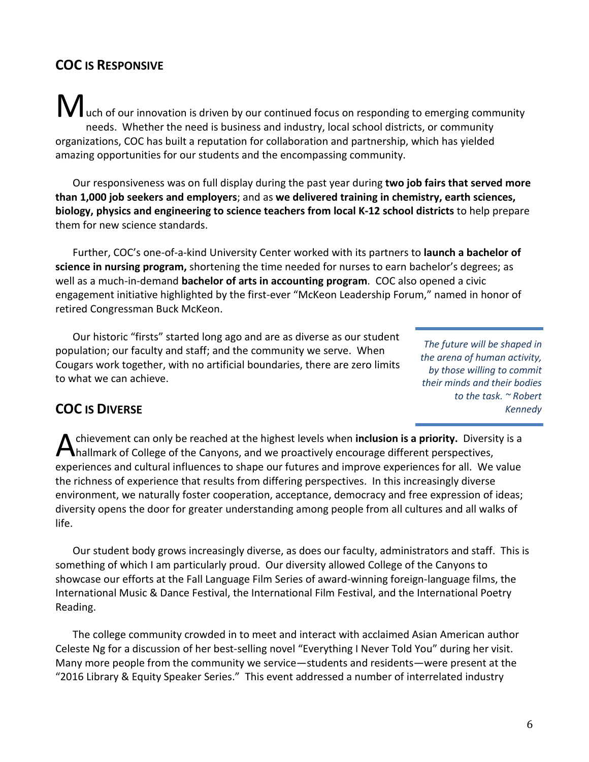# **COC IS RESPONSIVE**

**M** uch of our innovation is driven by our continued focus on responding to emerging community needs. Whether the need is business and industry, local school districts, or community organizations, COC has built a reputation for collaboration and partnership, which has yielded amazing opportunities for our students and the encompassing community.

Our responsiveness was on full display during the past year during **two job fairs that served more than 1,000 job seekers and employers**; and as **we delivered training in chemistry, earth sciences, biology, physics and engineering to science teachers from local K-12 school districts** to help prepare them for new science standards.

Further, COC's one-of-a-kind University Center worked with its partners to **launch a bachelor of science in nursing program,** shortening the time needed for nurses to earn bachelor's degrees; as well as a much-in-demand **bachelor of arts in accounting program**. COC also opened a civic engagement initiative highlighted by the first-ever "McKeon Leadership Forum," named in honor of retired Congressman Buck McKeon.

Our historic "firsts" started long ago and are as diverse as our student population; our faculty and staff; and the community we serve. When Cougars work together, with no artificial boundaries, there are zero limits to what we can achieve.

*The future will be shaped in the arena of human activity, by those willing to commit their minds and their bodies to the task. ~ Robert Kennedy*

### **COC IS DIVERSE**

chievement can only be reached at the highest levels when **inclusion is a priority.** Diversity is a hallmark of College of the Canyons, and we proactively encourage different perspectives, experiences and cultural influences to shape our futures and improve experiences for all. We value the richness of experience that results from differing perspectives. In this increasingly diverse environment, we naturally foster cooperation, acceptance, democracy and free expression of ideas; diversity opens the door for greater understanding among people from all cultures and all walks of life. A

Our student body grows increasingly diverse, as does our faculty, administrators and staff. This is something of which I am particularly proud. Our diversity allowed College of the Canyons to showcase our efforts at the Fall Language Film Series of award-winning foreign-language films, the International Music & Dance Festival, the International Film Festival, and the International Poetry Reading.

The college community crowded in to meet and interact with acclaimed Asian American author Celeste Ng for a discussion of her best-selling novel "Everything I Never Told You" during her visit. Many more people from the community we service—students and residents—were present at the "2016 Library & Equity Speaker Series." This event addressed a number of interrelated industry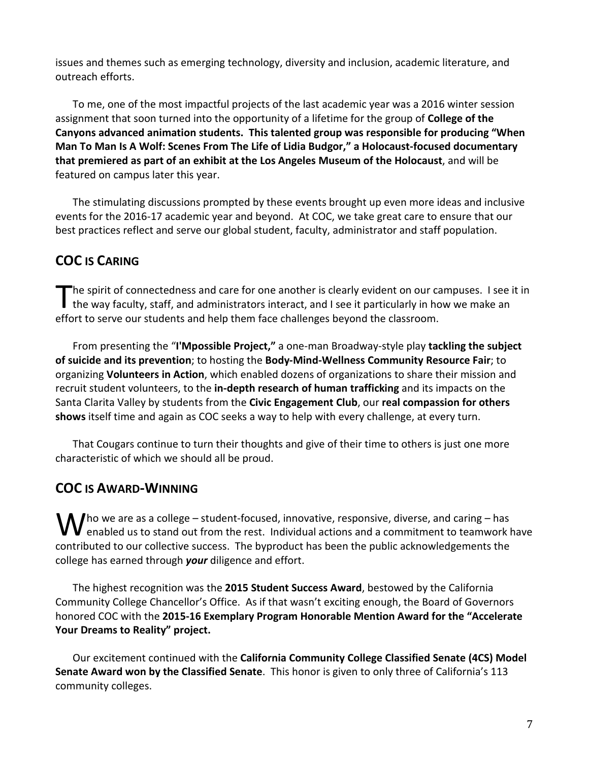issues and themes such as emerging technology, diversity and inclusion, academic literature, and outreach efforts.

To me, one of the most impactful projects of the last academic year was a 2016 winter session assignment that soon turned into the opportunity of a lifetime for the group of **College of the Canyons advanced animation students. This talented group was responsible for producing "When Man To Man Is A Wolf: Scenes From The Life of Lidia Budgor," a Holocaust-focused documentary that premiered as part of an exhibit at the Los Angeles Museum of the Holocaust**, and will be featured on campus later this year.

The stimulating discussions prompted by these events brought up even more ideas and inclusive events for the 2016-17 academic year and beyond. At COC, we take great care to ensure that our best practices reflect and serve our global student, faculty, administrator and staff population.

# **COC IS CARING**

The spirit of connectedness and care for one another is clearly evident on our campuses. I see it in The spirit of connectedness and care for one another is clearly evident on our campuses. I see<br>the way faculty, staff, and administrators interact, and I see it particularly in how we make an effort to serve our students and help them face challenges beyond the classroom.

From presenting the "**I'Mpossible Project,"** a one-man Broadway-style play **tackling the subject of suicide and its prevention**; to hosting the **Body-Mind-Wellness Community Resource Fair**; to organizing **Volunteers in Action**, which enabled dozens of organizations to share their mission and recruit student volunteers, to the **in-depth research of human trafficking** and its impacts on the Santa Clarita Valley by students from the **Civic Engagement Club**, our **real compassion for others shows** itself time and again as COC seeks a way to help with every challenge, at every turn.

That Cougars continue to turn their thoughts and give of their time to others is just one more characteristic of which we should all be proud.

# **COC IS AWARD-WINNING**

 $\int$  ho we are as a college – student-focused, innovative, responsive, diverse, and caring – has  $\bigvee$  ho we are as a college – student-focused, innovative, responsive, diverse, and caring – has<br>enabled us to stand out from the rest. Individual actions and a commitment to teamwork have contributed to our collective success. The byproduct has been the public acknowledgements the college has earned through *your* diligence and effort.

The highest recognition was the **2015 Student Success Award**, bestowed by the California Community College Chancellor's Office. As if that wasn't exciting enough, the Board of Governors honored COC with the **2015-16 Exemplary Program Honorable Mention Award for the "Accelerate Your Dreams to Reality" project.** 

Our excitement continued with the **California Community College Classified Senate (4CS) Model Senate Award won by the Classified Senate**. This honor is given to only three of California's 113 community colleges.